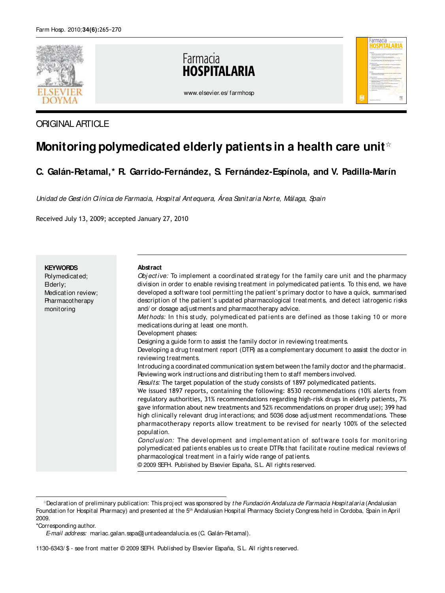

## ORIGINAL ARTICLE

# **Monitoring polymedicated elderly patients in a health care unit**☆

# **C. Galán-Retamal,\* R. Garrido-Fernández, S. Fernández-Espínola, and V. Padilla-Marín**

Unidad de Gestión Clínica de Farmacia, Hospit al Ant equera, Área Sanit aria Nort e, Málaga, Spain

Received July 13, 2009; accepted January 27, 2010

| <b>KEYWORDS</b><br>Polymedicated;<br>Ederly;<br>Medication review;<br><b>Pharmacotherapy</b><br>monitoring | Abstract<br>Objective: To implement a coordinated strategy for the family care unit and the pharmacy<br>division in order to enable revising treatment in polymedicated patients. To this end, we have<br>developed a software tool permitting the patient's primary doctor to have a quick, summarised<br>description of the patient's updated pharmacological treatments, and detect iatrogenic risks<br>and/ or dosage adjustments and pharmacotherapy advice.<br>Methods: In this study, polymedicated patients are defined as those taking 10 or more<br>medications during at least one month.<br>Development phases:<br>Designing a guide form to assist the family doctor in reviewing treatments.<br>Developing a drug treatment report (DTR) as a complementary document to assist the doctor in<br>reviewing treatments.<br>Introducing a coordinated communication system between the family doctor and the pharmacist.<br>Reviewing work instructions and distributing them to staff members involved.<br>Results: The target population of the study consists of 1897 polymedicated patients.<br>We issued 1897 reports, containing the following: 8530 recommendations (10% alerts from<br>regulatory authorities, 31% recommendations regarding high-risk drugs in elderly patients, 7%<br>gave information about new treatments and 52% recommendations on proper drug use); 399 had |
|------------------------------------------------------------------------------------------------------------|-------------------------------------------------------------------------------------------------------------------------------------------------------------------------------------------------------------------------------------------------------------------------------------------------------------------------------------------------------------------------------------------------------------------------------------------------------------------------------------------------------------------------------------------------------------------------------------------------------------------------------------------------------------------------------------------------------------------------------------------------------------------------------------------------------------------------------------------------------------------------------------------------------------------------------------------------------------------------------------------------------------------------------------------------------------------------------------------------------------------------------------------------------------------------------------------------------------------------------------------------------------------------------------------------------------------------------------------------------------------------------------------------------|
|                                                                                                            | high clinically relevant drug interactions; and 5036 dose adjustment recommendations. These<br>pharmacotherapy reports allow treatment to be revised for nearly 100% of the selected<br>population.<br><i>Conclusion:</i> The development and implementation of software tools for monitoring<br>polymedicated patients enables us to create DTRs that facilitate routine medical reviews of<br>pharmacological treatment in a fairly wide range of patients.                                                                                                                                                                                                                                                                                                                                                                                                                                                                                                                                                                                                                                                                                                                                                                                                                                                                                                                                         |
|                                                                                                            | © 2009 SEFH. Published by Esevier España, S.L. All rights reserved.                                                                                                                                                                                                                                                                                                                                                                                                                                                                                                                                                                                                                                                                                                                                                                                                                                                                                                                                                                                                                                                                                                                                                                                                                                                                                                                                   |

<sup>\*</sup>Declaration of preliminary publication: This project was sponsored by the Fundación Andaluza de Farmacia Hospitalaria (Andalusian Foundation for Hospital Pharmacy) and presented at the 5<sup>th</sup> Andalusian Hospital Pharmacy Society Congress held in Cordoba, Spain in April 2009.

\*Corresponding author.

E-mail address: mariac.galan.sspa@j untadeandalucia.es (C. Galán-Retamal).

<sup>1130-6343/ \$ -</sup> see front matter © 2009 SEFH. Published by Elsevier España, S.L. All rights reserved.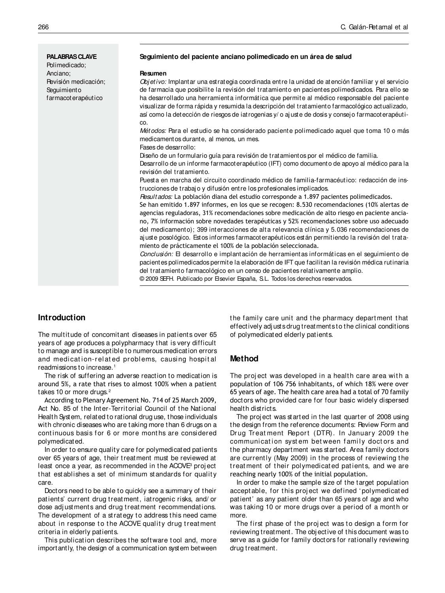**PALABRAS CLAVE** Polimedicado; Anciano; Revisión medicación; **Seguimiento** farmacoterapéutico

#### **Seguimiento del paciente anciano polimedicado en un área de salud**

#### **Resumen**

Obj etivo: Implantar una estrategia coordinada entre la unidad de atención familiar y el servicio de farmacia que posibilite la revisión del tratamiento en pacientes polimedicados. Para ello se ha desarrollado una herramienta informática que permite al médico responsable del paciente visualizar de forma rápida y resumida la descripción del tratamiento farmacológico actualizado, así como la detección de riesgos de iatrogenias y/ o aj uste de dosis y consej o farmacoterapéutico.

Mét odos: Para el estudio se ha considerado paciente polimedicado aquel que toma 10 o más medicamentos durante, al menos, un mes.

Fases de desarrollo:

Diseño de un formulario guía para revisión de tratamientos por el médico de familia.

Desarrollo de un informe farmacoterapéutico (IFT) como documento de apoyo al médico para la revisión del tratamiento.

Puesta en marcha del circuito coordinado médico de familia-farmacéutico: redacción de instrucciones de trabaj o y difusión entre los profesionales implicados.

Resultados: La población diana del estudio corresponde a 1.897 pacientes polimedicados.

Se han emitido 1.897 informes, en los que se recogen: 8.530 recomendaciones (10% alertas de agencias reguladoras, 31% recomendaciones sobre medicación de alto riesgo en paciente anciano, 7% información sobre novedades terapéuticas y 52% recomendaciones sobre uso adecuado del medicamento); 399 interacciones de alta relevancia clínica y 5.036 recomendaciones de aj uste posológico. Estos informes farmacoterapéuticos están permitiendo la revisión del tratamiento de prácticamente el 100% de la población seleccionada.

Conclusión: El desarrollo e implantación de herramientas informáticas en el seguimiento de pacientes polimedicados permite la elaboración de IFT que facilitan la revisión médica rutinaria del tratamiento farmacológico en un censo de pacientes relativamente amplio.

© 2009 SEFH. Publicado por Elsevier España, S.L. Todos los derechos reservados.

#### **Introduction**

The multitude of concomitant diseases in patients over 65 years of age produces a polypharmacy that is very difficult to manage and is susceptible to numerous medication errors and medication-related problems, causing hospital readmissions to increase. <sup>1</sup>

The risk of suffering an adverse reaction to medication is around 5%, a rate that rises to almost 100% when a patient takes 10 or more drugs.<sup>2</sup>

According to Plenary Agreement No. 714 of 25 March 2009, Act No. 85 of the Inter-Territorial Council of the National Health System, related to rational drug use, those individuals with chronic diseases who are taking more than 6 drugs on a continuous basis for 6 or more months are considered polymedicated.

In order to ensure quality care for polymedicated patients over 65 years of age, their treatment must be reviewed at least once a year, as recommended in the ACOVE<sup>3</sup> project t hat est ablishes a set of minimum st andards for qualit y care.

Doctors need to be able to quickly see a summary of their patients' current drug treatment, iatrogenic risks, and/ or dose adj ustments and drug treatment recommendations. The development of a strategy to address this need came about in response to the ACOVE quality drug treatment criteria in elderly patients.

This publication describes the software tool and, more importantly, the design of a communication system between the family care unit and the pharmacy department that effectively adjusts drug treatments to the clinical conditions of polymedicated elderly patients.

#### **Method**

The project was developed in a health care area with a population of 106 756 inhabitants, of which 18% were over 65 years of age. The health care area had a total of 70 family doctors who provided care for four basic widely dispersed health districts.

The proj ect was started in the last quarter of 2008 using the design from the reference documents: Review Form and Drug Treat ment Report (DTR). In January 2009 t he communication system between family doctors and the pharmacy department was started. Area family doctors are currently (May 2009) in the process of reviewing the treatment of their polymedicated patients, and we are reaching nearly 100% of the initial population.

In order to make the sample size of the target population accept able, for t his proj ect we defined ' polymedicat ed patient' as any patient older than 65 years of age and who was taking 10 or more drugs over a period of a month or more.

The first phase of the project was to design a form for reviewing treatment. The obj ective of this document was to serve as a guide for family doctors for rationally reviewing drug treatment.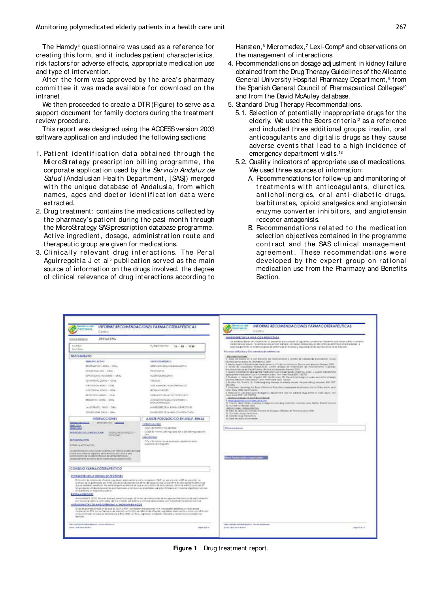The Hamdy<sup>4</sup> quest ionnaire was used as a reference for creating this form, and it includes patient characteristics, risk factors for adverse effects, appropriate medication use and type of intervention.

After the form was approved by the area's pharmacy committee it was made available for download on the intranet.

We then proceeded to create a DTR (Figure) to serve as a support document for family doctors during the treatment review procedure.

This report was designed using the ACCESS version 2003 software application and included the following sections:

- 1. Patient identification data obtained through the MicroStrategy prescription billing programme, the corporate application used by the Servicio Andaluz de Salud (Andalusian Health Department, [SAS]) merged with the unique dat abase of Andalusia, from which names, ages and doctor identification data were extracted.
- 2. Drug treatment: contains the medications collected by the pharmacy's patient during the past month through the MicroStrategy SAS prescription database programme. Active ingredient, dosage, administration route and therapeutic group are given for medications.
- 3. Clinically relevant drug interactions. The Peral Aguirregoitia J et al<sup>s</sup> publication served as the main source of information on the drugs involved, the degree of clinical relevance of drug interactions according to

Hansten, <sup>6</sup> Micromedex, <sup>7</sup> Lexi-Comp<sup>8</sup> and observations on the management of interactions.

- 4. Recommendations on dosage adj ustment in kidney failure obtained from the Drug Therapy Guidelines of the Alicante General University Hospital Pharmacy Department, <sup>9</sup> from the Spanish General Council of Pharmaceutical Colleges<sup>10</sup> and from the David McAuley database. <sup>11</sup>
- 5. Standard Drug Therapy Recommendations.
	- 5.1. Selection of potentially inappropriate drugs for the elderly. We used the Beers criteria<sup>12</sup> as a reference and included three additional groups: insulin, oral ant icoagulant s and digit alic drugs as t hey cause adverse events that lead to a high incidence of emergency department visits.<sup>13</sup>
	- 5.2. Quality indicators of appropriate use of medications. We used three sources of information:
		- A. Recommendations for follow-up and monitoring of treatments with anticoagulants, diuretics, anticholinergics, oral anti-diabetic drugs, barbit urat es, opioid analgesics and angiot ensin enzyme convert er inhibit ors, and angiot ensin receptor antagonists.
		- B. Recommendations related to the medication selection obj ectives contained in the programme contract and the SAS clinical management agreement. These recommendations were developed by the expert group on rational medication use from the Pharmacy and Benefits Section.

| <b><i>Isticits din</i></b><br>Fairmaciu<br>Centro                                                                                                                                                                                                                                                                                                                                                                                                                                                      | INFORME RECOMENDACIONES FARMACOTERAPEUTICAS                                                                                      | INFORME RECOMENDACIONES FARMACOTERAPEUTICAS<br>POINTOUR<br>Cettita                                                                                                                                                                                                                                                                                                                |
|--------------------------------------------------------------------------------------------------------------------------------------------------------------------------------------------------------------------------------------------------------------------------------------------------------------------------------------------------------------------------------------------------------------------------------------------------------------------------------------------------------|----------------------------------------------------------------------------------------------------------------------------------|-----------------------------------------------------------------------------------------------------------------------------------------------------------------------------------------------------------------------------------------------------------------------------------------------------------------------------------------------------------------------------------|
| 293141370-<br>Cora madica                                                                                                                                                                                                                                                                                                                                                                                                                                                                              |                                                                                                                                  | <b>INNSOCKET DELA HINS COA REDUCTASA</b>                                                                                                                                                                                                                                                                                                                                          |
| <b>EGSGA</b><br>Hombro                                                                                                                                                                                                                                                                                                                                                                                                                                                                                 | P. HallMeithe<br>$12 - 24 + 1934$                                                                                                | be entity a determent of parts on for projection and company to decompany the production of the projection and have substituted to a series<br>standinisticate previo Pocientes en brevenicité signifianti con recosi didittovista alle drive ils entrémis obmentionnais, la<br>SEEE KINJEPROMI TO PORTLANDES BE BRING ON A FRESHER / MILITARE ENGINEER CRAVILLETIN TO BE ENGINE. |
| <b>TRATAMIENTO</b>                                                                                                                                                                                                                                                                                                                                                                                                                                                                                     |                                                                                                                                  | Recursos afflicados y Decomendos de sobmiscos.                                                                                                                                                                                                                                                                                                                                    |
|                                                                                                                                                                                                                                                                                                                                                                                                                                                                                                        |                                                                                                                                  | <b><i>DECUMENTATIONS</i></b><br>I were on weight on at last flacture as "Modicarterm a printes de cellese de presentative Orace".                                                                                                                                                                                                                                                 |
| PANCING ACTIVITY<br>BRONNADI'AM 1.00MS - ORAL                                                                                                                                                                                                                                                                                                                                                                                                                                                          | UNIFOTEN/BACO                                                                                                                    | INVESTIGATION CONCERN AT LEFT AND SALE 2022<br>2. Awres Agencia Squaficia de Medicianien y Picalcote Santanie. Pecnic schuelano è l'especi 2001.                                                                                                                                                                                                                                  |
| Christinia (et) - Ofac                                                                                                                                                                                                                                                                                                                                                                                                                                                                                 | SEM-ADDI SEVA SEVEZDAZITA 6<br>PROPULSIVOS.                                                                                      | 3. Firmed the Industriality Terrand Alexie. Curricle reconstant de intermediate also resultantements (CACSAR)<br>Roughs Anizota and do Loud Finders, Pacific Actionization Astronic (\$21).                                                                                                                                                                                       |
| CPROVIDING HD STRAIN + DRAL                                                                                                                                                                                                                                                                                                                                                                                                                                                                            | <b><i>RUCKSOUTELEME</i></b>                                                                                                      | 4. Quality indication for appropriate medication we require adults, knight 31, livials, J. Quality indication for<br>relationships make indicate Lice in a Understate a dent. And Import blund 2007: 138-703.                                                                                                                                                                     |
| PERCHIMANO CORPO . CRAN.                                                                                                                                                                                                                                                                                                                                                                                                                                                                               | PANADOR                                                                                                                          | 5. Rudolph J., Sanue AM, Angeler, ARC 98(Shruhan, 19). The principal angle in under and principalments:<br>among affects in main powers, Anto brain size #10310, Tult 318.                                                                                                                                                                                                        |
| FORDISAGE ARED - CAN                                                                                                                                                                                                                                                                                                                                                                                                                                                                                   | <b>SERPHANENE RENORMANCES</b>                                                                                                    | A Rochot, PA Surer's JR, Sprintolog analy Herians Circulately precise. The prescribing casculate BMJ 1997.<br>149,1064                                                                                                                                                                                                                                                            |
| <b>AUDIOTECHNICAL EXERCIT - CALLAL</b>                                                                                                                                                                                                                                                                                                                                                                                                                                                                 | BORAHOMODEL                                                                                                                      | 7 Link Room, Sputning the Room, Others, he Polenties), mogetation and annualism line in Clinton Art, N. Anni-<br>Intern Mark 2003; 1432/144701                                                                                                                                                                                                                                    |
|                                                                                                                                                                                                                                                                                                                                                                                                                                                                                                        | DEMOCRATIC ACOUNTERING                                                                                                           | & Madophon use lauding by an argumes stagestreed rolls for science stug aren'ts in order soluts. Ann.<br>Vitam lanet 2007 het 1983 fot                                                                                                                                                                                                                                            |
| <b>BETHCHEND WEBKS - CRAY</b>                                                                                                                                                                                                                                                                                                                                                                                                                                                                          | AVENDOVISTAS DE ATADIOTOKENA IL                                                                                                  | Aliaford controls an interfallments forced                                                                                                                                                                                                                                                                                                                                        |
| <b>RESULTAS LENG - ORAL</b>                                                                                                                                                                                                                                                                                                                                                                                                                                                                            | <b><i>BIO GENERALISTS</i></b>                                                                                                    | Fighting produced control today, sense rates<br>45 Checks New Selves contributed and programs and all opinions of traditionary years. No Reich Pollution including                                                                                                                                                                                                                |
| 14100964201 RRUS - 08%                                                                                                                                                                                                                                                                                                                                                                                                                                                                                 | <b>BINSEDME TRIA NOVA DEPETITIVE</b>                                                                                             | El Juriser 3 February 3010<br>Millerstown (1986-4-005) (12)                                                                                                                                                                                                                                                                                                                       |
| SMVACHTHA ZRIG - CRAL                                                                                                                                                                                                                                                                                                                                                                                                                                                                                  | INVERSIONS DELA HING COA RESULTADA                                                                                               | It has a arts at Crivat Seved in Coupe (Milate in News) Ass 208.<br>12. Machine's shap interactions                                                                                                                                                                                                                                                                               |
| INTERACCIONES                                                                                                                                                                                                                                                                                                                                                                                                                                                                                          | A AISTE POSOLOGICO EN INSUF, EEN AL                                                                                              | 11 Henrieri drug (rilenturture)<br>14 Sare de John Monmeder                                                                                                                                                                                                                                                                                                                       |
| <b>BENNGORILIZELA</b><br><b>DESAILED TO A LEASE A</b><br><b>HAD ON</b>                                                                                                                                                                                                                                                                                                                                                                                                                                 | DRIVING                                                                                                                          |                                                                                                                                                                                                                                                                                                                                                                                   |
| 0004115                                                                                                                                                                                                                                                                                                                                                                                                                                                                                                | (CCFAID PURINT CRO correlar)                                                                                                     | Diservalence                                                                                                                                                                                                                                                                                                                                                                      |
| MARINARDA DE LA INTERACCIÓN<br>FORECADO EREDET<br><b>MACCAS</b>                                                                                                                                                                                                                                                                                                                                                                                                                                        | Cr2d (6 mem); 36 mg cons 10 x 36 600 mg coos 18 -<br>34%                                                                         |                                                                                                                                                                                                                                                                                                                                                                                   |
| <b><i>MODARINGSTAN</i></b>                                                                                                                                                                                                                                                                                                                                                                                                                                                                             | <b>EMAGES</b> Child                                                                                                              |                                                                                                                                                                                                                                                                                                                                                                                   |
| <b>KODACODA MARINI</b>                                                                                                                                                                                                                                                                                                                                                                                                                                                                                 | C.O. + 32 months has an appropriate adoptions about<br>superform in 10 mig/24 h.                                                 |                                                                                                                                                                                                                                                                                                                                                                                   |
|                                                                                                                                                                                                                                                                                                                                                                                                                                                                                                        |                                                                                                                                  |                                                                                                                                                                                                                                                                                                                                                                                   |
| a servicinate corpora de stalhas con financiale poste partiga-<br>promoter to be a greater of the policies of the control of the<br>activizador de la allebo lokia de anos: fornace:<br>ingenciatorista accento de la rollancia de sabdomostic                                                                                                                                                                                                                                                         |                                                                                                                                  | <b>And I want to the morning of</b>                                                                                                                                                                                                                                                                                                                                               |
| CONSEIO FAEMACOSTRAPEUTICO                                                                                                                                                                                                                                                                                                                                                                                                                                                                             |                                                                                                                                  |                                                                                                                                                                                                                                                                                                                                                                                   |
| INVESTORES DE LA BOMBA DE PROFONES<br>By Burealthy de collection at a Principal angulational determination is looking collected in the company of the average of the company of<br>profitant de la gialitzazione APE) sito en la proprietazione provincia de regono non una chiefrance della molte eristerazione<br>Scenario Street ponel (c); No extra yong you evidence as a pair of control as an operator many as a difficult on the<br>prison exits an alagnizing prevail.<br>2010/11/05 00:04:07 | Ninga algorial US Base art association and results and a receptors as a concentration contract for recording algorithms from the |                                                                                                                                                                                                                                                                                                                                                                                   |
| EXT YOU AND AFTARYOLD LOTTED STABLE SIX CITY CALL PHONO AND THE PUT OF DESIGN ARRAIGNMENT CONTINUES ON THE PUT OF THE CONTINUES.                                                                                                                                                                                                                                                                                                                                                                       | A and ADM/1, IRID. Nevade baronce beneficial ergs, as interested precommen de six agementes processos de aproximación.           |                                                                                                                                                                                                                                                                                                                                                                                   |
| ANTAGONISTAS DE ANGIORENSIA E MONOFAEMACOS<br>in team-acoust circos ships aux lot (CA c ARA / compartn his cocontra r/A, neurosofa destinct a multi-system                                                                                                                                                                                                                                                                                                                                             | parallanation ACA puring Network dia spacetic architectics as called at data change anguilation between the architectural anter- |                                                                                                                                                                                                                                                                                                                                                                                   |
| te focumitatum pe costa da información a BCA. Baha co BCA, a aproxima anabastic, Satuanto o rentalho os considerantes<br>MANUFACTURE                                                                                                                                                                                                                                                                                                                                                                   |                                                                                                                                  |                                                                                                                                                                                                                                                                                                                                                                                   |
| AND LOFTEN STAR OF MAIN 1 - SHELL BLACKS                                                                                                                                                                                                                                                                                                                                                                                                                                                               |                                                                                                                                  | <b>Digit Lightham down and an except and an increased</b>                                                                                                                                                                                                                                                                                                                         |

**Figure 1** Drug treatment report.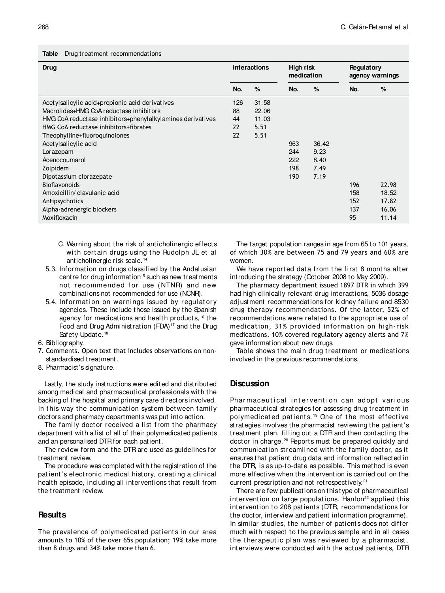#### **Table** Drug treatment recommendations

| Drug                                                       |     | <b>Interactions</b> |     | High risk<br>medication |     | Regulatory<br>agency warnings |  |
|------------------------------------------------------------|-----|---------------------|-----|-------------------------|-----|-------------------------------|--|
|                                                            | No. | %                   | No. | $\%$                    | No. | %                             |  |
| Acetylsalicylic acid+propionic acid derivatives            | 126 | 31.58               |     |                         |     |                               |  |
| Macrolides+HMG CoA reductase inhibitors                    |     | 22.06               |     |                         |     |                               |  |
| HMG CoA reductase inhibitors+phenylalkylamines derivatives |     | 11.03               |     |                         |     |                               |  |
| HMG CoA reductase inhibitors+fibrates                      |     | 5.51                |     |                         |     |                               |  |
| Theophylline+fluoroquinolones                              |     | 5.51                |     |                         |     |                               |  |
| Acetylsalicylic acid                                       |     |                     | 963 | 36.42                   |     |                               |  |
| Lorazepam                                                  |     |                     | 244 | 9.23                    |     |                               |  |
| Acenocoumarol                                              |     |                     | 222 | 8.40                    |     |                               |  |
| Zolpidem                                                   |     |                     | 198 | 7.49                    |     |                               |  |
| Dipotassium clorazepate                                    |     |                     | 190 | 7.19                    |     |                               |  |
| <b>Bioflavonoids</b>                                       |     |                     |     |                         | 196 | 22.98                         |  |
| Amoxicillin/clavulanic acid                                |     |                     |     |                         | 158 | 18.52                         |  |
| Antipsychotics                                             |     |                     |     |                         | 152 | 17.82                         |  |
| Alpha-adrenergic blockers                                  |     |                     |     |                         | 137 | 16.06                         |  |
| Moxifloxacin                                               |     |                     |     |                         | 95  | 11.14                         |  |

- C. Warning about the risk of anticholinergic effects with certain drugs using the Rudolph JL et all anticholinergic risk scale. <sup>14</sup>
- 5.3. Informat ion on drugs classified by t he Andalusian centre for drug information<sup>15</sup> such as new treatments not recommended for use (NTNR) and new combinations not recommended for use (NCNR).
- 5.4. Information on warnings issued by regulatory agencies. These include those issued by the Spanish agency for medications and health products, <sup>16</sup> the Food and Drug Administration (FDA)<sup>17</sup> and the Drug Safety Update.<sup>18</sup>
- 6. Bibliography.
- 7. Comments. Open text that includes observations on nonstandardised treatment.
- 8. Pharmacist's signature.

Lastly, the study instructions were edited and distributed among medical and pharmaceutical professionals with the backing of the hospital and primary care directors involved. In this way the communication system between family doctors and pharmacy departments was put into action.

The family doctor received a list from the pharmacy department with a list of all of their polymedicated patients and an personalised DTR for each patient.

The review form and the DTR are used as guidelines for treatment review.

The procedure was completed with the registration of the patient's electronic medical history, creating a clinical health episode, including all interventions that result from the treatment review.

#### **Results**

The prevalence of polymedicated patients in our area amounts to 10% of the over 65s population; 19% take more than 8 drugs and 34% take more than 6.

The target population ranges in age from 65 to 101 years, of which 30% are between 75 and 79 years and 60% are women.

We have reported data from the first 8 months after introducing the strategy (October 2008 to May 2009).

The pharmacy department issued 1897 DTR in which 399 had high clinically relevant drug interactions, 5036 dosage adj ustment recommendations for kidney failure and 8530 drug therapy recommendations. Of the latter, 52% of recommendations were related to the appropriate use of medication, 31% provided information on high-risk medications, 10% covered regulatory agency alerts and 7% gave information about new drugs.

Table shows the main drug treatment or medications involved in the previous recommendations.

#### **Discussion**

Pharmaceutical intervention can adopt various pharmaceutical strategies for assessing drug treatment in polymedicated patients.<sup>19</sup> One of the most effective strategies involves the pharmacist reviewing the patient's treatment plan, filling out a DTR and then contacting the doctor in charge.<sup>20</sup> Peports must be prepared quickly and communication streamlined with the family doctor, as it ensures that patient drug data and information reflected in the DTR, is as up-to-date as possible. This method is even more effective when the intervention is carried out on the current prescription and not retrospectively.<sup>21</sup>

There are few publications on this type of pharmaceutical int ervention on large populations. Hanlon<sup>22</sup> applied this int ervention to 208 patients (DTR, recommendations for the doctor, interview and patient information programme). In similar studies, the number of patients does not differ much with respect to the previous sample and in all cases the therapeutic plan was reviewed by a pharmacist, interviews were conducted with the actual patients, DTR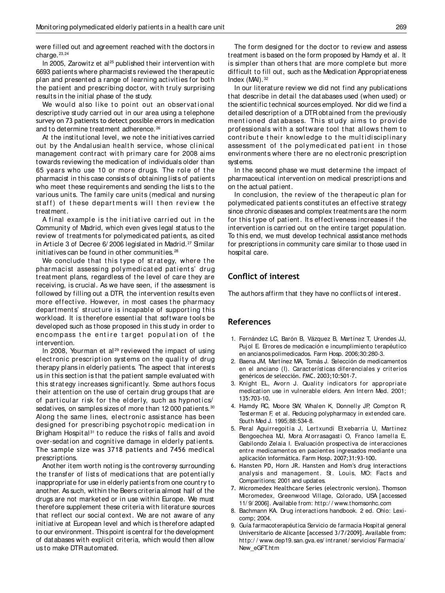were filled out and agreement reached with the doctors in charge. 23,24

In 2005, Zarowitz et al<sup>25</sup> published their intervention with 6693 patients where pharmacists reviewed the therapeutic plan and presented a range of learning activities for both the patient and prescribing doctor, with truly surprising results in the initial phase of the study.

We would also like to point out an observational descriptive study carried out in our area using a telephone survey on 73 patients to detect possible errors in medication and to determine treatment adherence. <sup>26</sup>

At the institutional level, we note the initiatives carried out by the Andalusian health service, whose clinical management contract with primary care for 2008 aims towards reviewing the medication of individuals older than 65 years who use 10 or more drugs. The role of t he pharmacist in this case consists of obtaining lists of patients who meet these requirements and sending the lists to the various units. The family care units (medical and nursing staff) of these departments will then review the treatment.

A final example is the initiative carried out in the Community of Madrid, which even gives legal status to the review of treatments for polymedicated patients, as cited in Article 3 of Decree 6/2006 legislated in Madrid.<sup>27</sup> Similar initiatives can be found in other communities.<sup>28</sup>

We conclude that this type of strategy, where the pharmacist assessing polymedicated patients' drug treatment plans, regardless of the level of care they are receiving, is crucial. As we have seen, if the assessment is followed by filling out a DTR, the intervention results even more effective. However, in most cases the pharmacy departments' structure is incapable of supporting this workload. It is therefore essential that software tools be developed such as those proposed in this study in order to encompass the entire target population of the intervention.

In 2008, Yourman et al<sup>29</sup> reviewed the impact of using elect ronic prescription systems on the quality of drug therapy plans in elderly patients. The aspect that interests us in this section is that the patient sample evaluated with t his st rat egy increases significant ly. Some aut hors focus their attention on the use of certain drug groups that are of particular risk for the elderly, such as hypnotics/ sedatives, on samples sizes of more than 12 000 patients. 30 Along the same lines, electronic assistance has been designed for prescribing psychotropic medication in Brigham Hospital<sup>31</sup> to reduce the risks of falls and avoid over-sedation and cognitive damage in elderly patients. The sample size was 3718 patients and 7456 medical prescriptions.

Another item worth noting is the controversy surrounding the transfer of lists of medications that are potentially inappropriate for use in elderly patients from one country to another. As such, within the Beers criteria almost half of the drugs are not marketed or in use within Europe. We must therefore supplement these criteria with literature sources that reflect our social context. We are not aware of any initiative at European level and which is therefore adapted to our environment. This point is central for the development of databases with explicit criteria, which would then allow us to make DTR automated.

The form designed for the doctor to review and assess treatment is based on the form proposed by Hamdy et al. It is simpler than others that are more complete but more difficult to fill out, such as the Medication Appropriateness Index (MAI). <sup>32</sup>

In our literature review we did not find any publications that describe in detail the databases used (when used) or the scientific technical sources employed. Nor did we find a detailed description of a DTR obtained from the previously mentioned dat abases. This study aims to provide professionals with a software tool that allows them to contribute their knowledge to the multidisciplinary assessment of the polymedicated patient in those environments where there are no electronic prescription systems.

In the second phase we must determine the impact of pharmaceutical intervention on medical prescriptions and on the actual patient.

In conclusion, the review of the therapeutic plan for polymedicated patients constitutes an effective strategy since chronic diseases and complex treatments are the norm for this type of patient. Its effectiveness increases if the intervention is carried out on the entire target population. To this end, we must develop technical assistance methods for prescriptions in community care similar to those used in hospital care.

## **Conlict of interest**

The authors affirm that they have no conflicts of interest.

### **References**

- 1. Fernández LC, Barón B, Vázquez B, Martínez T, Urendes JJ, Puj ol E. Errores de medicación e incumplimiento terapéutico en ancianos polimedicados. Farm Hosp. 2006;30:280-3.
- 2. Baena JM, Martínez MA, Tomás J. Selección de medicamentos en el anciano (I). Características diferenciales y criterios genéricos de selección. FMC. 2003;10:501-7.
- 3. Knight EL, Avorn J. Quality indicators for appropriate medication use in vulnerable elders. Ann Intern Med. 2001; 135:703-10.
- 4. Hamdy RC, Moore SW, Whalen K, Donnelly JP, Compton R, Testerman F, et al. Reducing polypharmacy in extended care. South Med J. 1995;88:534-8.
- 5. Peral Aguirregoitia J, Lertxundi Etxebarria U, Martinez Bengoechea MJ, Mora Atorrasagasti O, Franco lamella E, Gabilondo Zelaia I. Evaluación prospectiva de interacciones entre medicamentos en pacientes ingresados mediante una aplicación informática. Farm Hosp. 2007;31:93-100.
- 6. Hansten PD, Horn JR. Hansten and Hom′s drug interactions analysis and management. St. Louis, MO: Facts and Comparitions; 2001 and updates.
- 7. Micromedex Healthcare Series (electronic version). Thomson Micromedex, Greenwood Village, Colorado, USA [accessed 11/ 9/ 2006]. Available from: http:/ / www.thomsonhc.com
- 8. Bachmann KA. Drug interactions handbook. 2 ed. Ohio: Lexicomp; 2004.
- 9. Guía farmacoterapéutica Servicio de farmacia Hospital general Universitario de Alicante [accessed 3/7/2009]. Available from: http://www.dep19.san.gva.es/intranet/servicios/Farmacia/ New\_eGFT.htm